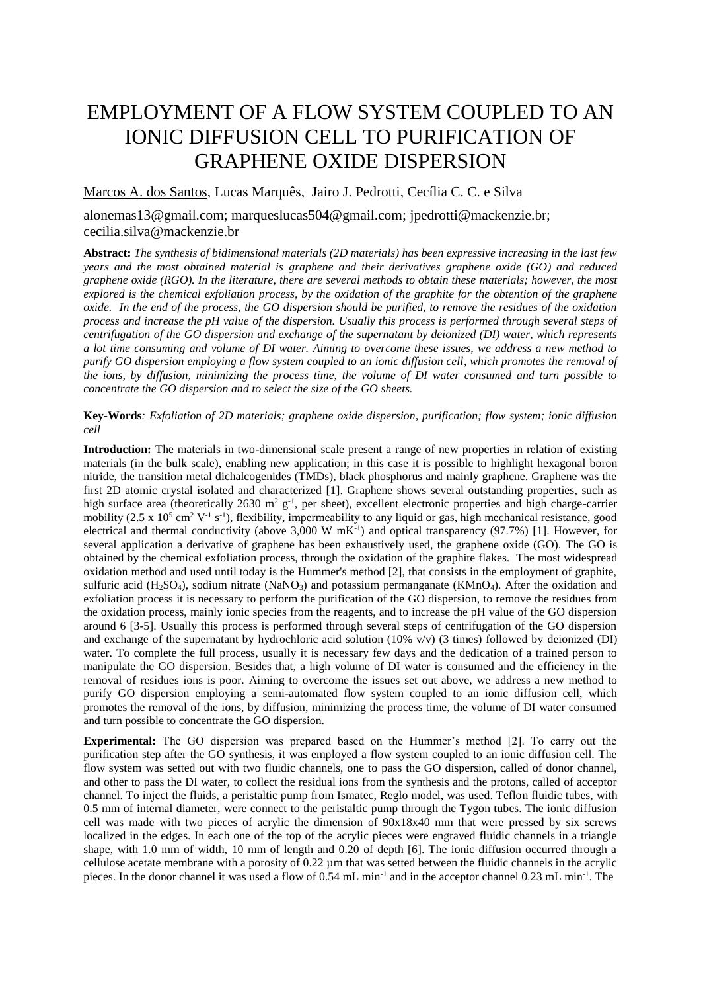## EMPLOYMENT OF A FLOW SYSTEM COUPLED TO AN IONIC DIFFUSION CELL TO PURIFICATION OF GRAPHENE OXIDE DISPERSION

Marcos A. dos Santos, Lucas Marquês, Jairo J. Pedrotti, Cecília C. C. e Silva

alonemas13@gmail.com; marqueslucas504@gmail.com; jpedrotti@mackenzie.br; cecilia.silva@mackenzie.br

**Abstract:** *The synthesis of bidimensional materials (2D materials) has been expressive increasing in the last few years and the most obtained material is graphene and their derivatives graphene oxide (GO) and reduced graphene oxide (RGO). In the literature, there are several methods to obtain these materials; however, the most explored is the chemical exfoliation process, by the oxidation of the graphite for the obtention of the graphene oxide. In the end of the process, the GO dispersion should be purified, to remove the residues of the oxidation process and increase the pH value of the dispersion. Usually this process is performed through several steps of centrifugation of the GO dispersion and exchange of the supernatant by deionized (DI) water, which represents a lot time consuming and volume of DI water. Aiming to overcome these issues, we address a new method to purify GO dispersion employing a flow system coupled to an ionic diffusion cell, which promotes the removal of the ions, by diffusion, minimizing the process time, the volume of DI water consumed and turn possible to concentrate the GO dispersion and to select the size of the GO sheets.*

**Key-Words***: Exfoliation of 2D materials; graphene oxide dispersion, purification; flow system; ionic diffusion cell*

**Introduction:** The materials in two-dimensional scale present a range of new properties in relation of existing materials (in the bulk scale), enabling new application; in this case it is possible to highlight hexagonal boron nitride, the transition metal dichalcogenides (TMDs), black phosphorus and mainly graphene. Graphene was the first 2D atomic crystal isolated and characterized [1]. Graphene shows several outstanding properties, such as high surface area (theoretically 2630 m<sup>2</sup> g<sup>-1</sup>, per sheet), excellent electronic properties and high charge-carrier mobility  $(2.5 \times 10^5 \text{ cm}^2 \text{ V}^{-1} \text{ s}^{-1})$ , flexibility, impermeability to any liquid or gas, high mechanical resistance, good electrical and thermal conductivity (above 3,000 W  $mK^{-1}$ ) and optical transparency (97.7%) [1]. However, for several application a derivative of graphene has been exhaustively used, the graphene oxide (GO). The GO is obtained by the chemical exfoliation process, through the oxidation of the graphite flakes. The most widespread oxidation method and used until today is the Hummer's method [2], that consists in the employment of graphite, sulfuric acid (H<sub>2</sub>SO<sub>4</sub>), sodium nitrate (NaNO<sub>3</sub>) and potassium permanganate (KMnO<sub>4</sub>). After the oxidation and exfoliation process it is necessary to perform the purification of the GO dispersion, to remove the residues from the oxidation process, mainly ionic species from the reagents, and to increase the pH value of the GO dispersion around 6 [3-5]. Usually this process is performed through several steps of centrifugation of the GO dispersion and exchange of the supernatant by hydrochloric acid solution (10% v/v) (3 times) followed by deionized (DI) water. To complete the full process, usually it is necessary few days and the dedication of a trained person to manipulate the GO dispersion. Besides that, a high volume of DI water is consumed and the efficiency in the removal of residues ions is poor. Aiming to overcome the issues set out above, we address a new method to purify GO dispersion employing a semi-automated flow system coupled to an ionic diffusion cell, which promotes the removal of the ions, by diffusion, minimizing the process time, the volume of DI water consumed and turn possible to concentrate the GO dispersion.

**Experimental:** The GO dispersion was prepared based on the Hummer's method [2]. To carry out the purification step after the GO synthesis, it was employed a flow system coupled to an ionic diffusion cell. The flow system was setted out with two fluidic channels, one to pass the GO dispersion, called of donor channel, and other to pass the DI water, to collect the residual ions from the synthesis and the protons, called of acceptor channel. To inject the fluids, a peristaltic pump from Ismatec, Reglo model, was used. Teflon fluidic tubes, with 0.5 mm of internal diameter, were connect to the peristaltic pump through the Tygon tubes. The ionic diffusion cell was made with two pieces of acrylic the dimension of 90x18x40 mm that were pressed by six screws localized in the edges. In each one of the top of the acrylic pieces were engraved fluidic channels in a triangle shape, with 1.0 mm of width, 10 mm of length and 0.20 of depth [6]. The ionic diffusion occurred through a cellulose acetate membrane with a porosity of 0.22 um that was setted between the fluidic channels in the acrylic pieces. In the donor channel it was used a flow of 0.54 mL min<sup>-1</sup> and in the acceptor channel 0.23 mL min<sup>-1</sup>. The